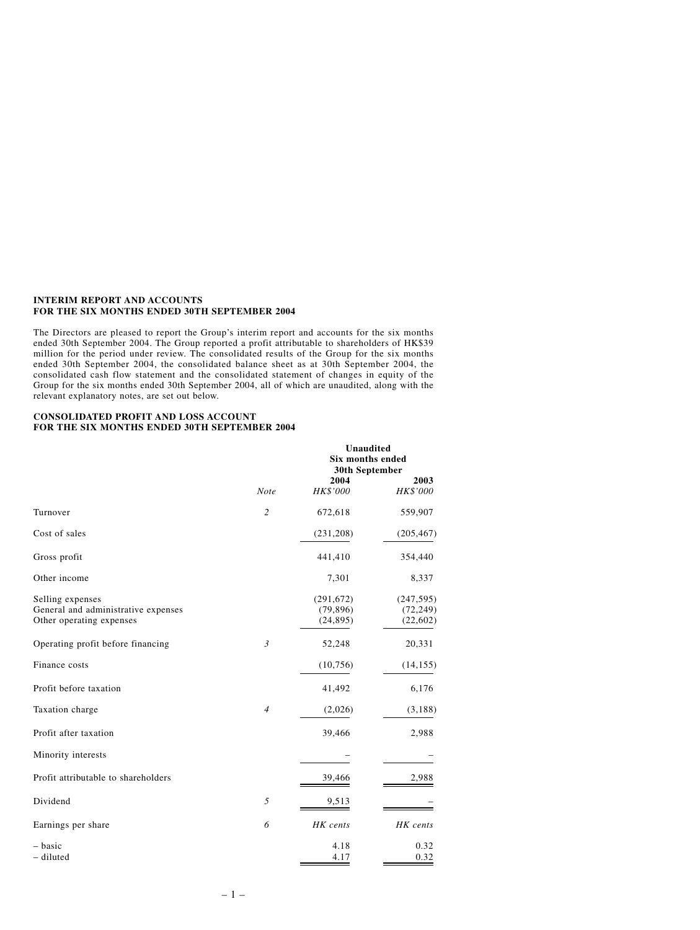### **INTERIM REPORT AND ACCOUNTS FOR THE SIX MONTHS ENDED 30TH SEPTEMBER 2004**

The Directors are pleased to report the Group's interim report and accounts for the six months ended 30th September 2004. The Group reported a profit attributable to shareholders of HK\$39 million for the period under review. The consolidated results of the Group for the six months ended 30th September 2004, the consolidated balance sheet as at 30th September 2004, the consolidated cash flow statement and the consolidated statement of changes in equity of the Group for the six months ended 30th September 2004, all of which are unaudited, along with the relevant explanatory notes, are set out below.

### **CONSOLIDATED PROFIT AND LOSS ACCOUNT FOR THE SIX MONTHS ENDED 30TH SEPTEMBER 2004**

|                                                                                     |                | <b>Unaudited</b><br>Six months ended<br>30th September |                                      |  |
|-------------------------------------------------------------------------------------|----------------|--------------------------------------------------------|--------------------------------------|--|
|                                                                                     | <b>Note</b>    | 2004<br>HK\$'000                                       | 2003<br>HK\$'000                     |  |
| Turnover                                                                            | $\overline{c}$ | 672,618                                                | 559,907                              |  |
| Cost of sales                                                                       |                | (231, 208)                                             | (205, 467)                           |  |
| Gross profit                                                                        |                | 441,410                                                | 354,440                              |  |
| Other income                                                                        |                | 7,301                                                  | 8,337                                |  |
| Selling expenses<br>General and administrative expenses<br>Other operating expenses |                | (291, 672)<br>(79, 896)<br>(24, 895)                   | (247, 595)<br>(72, 249)<br>(22, 602) |  |
| Operating profit before financing                                                   | $\mathfrak{Z}$ | 52,248                                                 | 20,331                               |  |
| Finance costs                                                                       |                | (10, 756)                                              | (14, 155)                            |  |
| Profit before taxation                                                              |                | 41,492                                                 | 6,176                                |  |
| Taxation charge                                                                     | $\overline{4}$ | (2,026)                                                | (3,188)                              |  |
| Profit after taxation                                                               |                | 39,466                                                 | 2,988                                |  |
| Minority interests                                                                  |                |                                                        |                                      |  |
| Profit attributable to shareholders                                                 |                | 39,466                                                 | 2,988                                |  |
| Dividend                                                                            | 5              | 9,513                                                  |                                      |  |
| Earnings per share                                                                  | 6              | HK cents                                               | HK cents                             |  |
| - basic<br>- diluted                                                                |                | 4.18<br>4.17                                           | 0.32<br>0.32                         |  |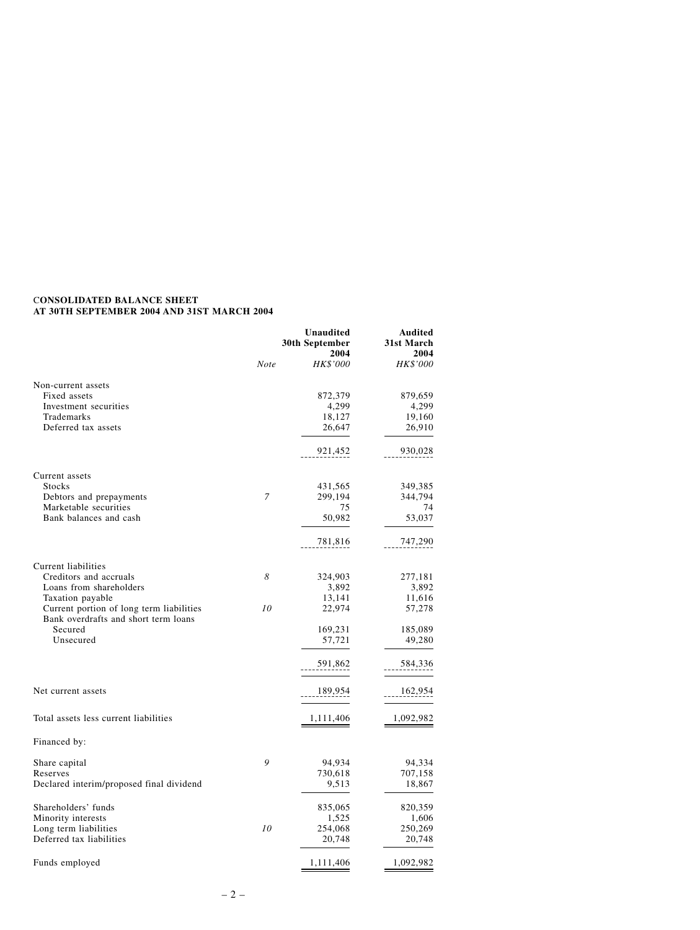# C**ONSOLIDATED BALANCE SHEET AT 30TH SEPTEMBER 2004 AND 31ST MARCH 2004**

|                                                                                  |      | <b>Unaudited</b><br>30th September<br>2004 | Audited<br>31st March<br>2004 |
|----------------------------------------------------------------------------------|------|--------------------------------------------|-------------------------------|
|                                                                                  | Note | <b>HK\$'000</b>                            | <i>HK\$'000</i>               |
| Non-current assets                                                               |      |                                            |                               |
| Fixed assets                                                                     |      | 872,379                                    | 879,659                       |
| Investment securities                                                            |      | 4,299                                      | 4,299                         |
| Trademarks                                                                       |      | 18,127                                     | 19,160                        |
| Deferred tax assets                                                              |      | 26,647                                     | 26,910                        |
|                                                                                  |      | 921,452                                    | 930,028                       |
| Current assets                                                                   |      |                                            |                               |
| <b>Stocks</b>                                                                    |      | 431,565                                    | 349,385                       |
| Debtors and prepayments                                                          | 7    | 299,194                                    | 344,794                       |
| Marketable securities                                                            |      | 75                                         | 74                            |
| Bank balances and cash                                                           |      | 50,982                                     | 53,037                        |
|                                                                                  |      | 781,816                                    | 747,290                       |
| Current liabilities                                                              |      |                                            |                               |
| Creditors and accruals                                                           | 8    | 324,903                                    | 277,181                       |
| Loans from shareholders                                                          |      | 3,892                                      | 3,892                         |
| Taxation payable                                                                 |      | 13,141                                     | 11,616                        |
| Current portion of long term liabilities<br>Bank overdrafts and short term loans | 10   | 22,974                                     | 57,278                        |
| Secured                                                                          |      | 169,231                                    | 185,089                       |
| Unsecured                                                                        |      | 57,721                                     | 49,280                        |
|                                                                                  |      | 591,862                                    | 584,336                       |
| Net current assets                                                               |      | 189,954                                    | 162,954                       |
| Total assets less current liabilities                                            |      | 1,111,406                                  | 1,092,982                     |
|                                                                                  |      |                                            |                               |
| Financed by:                                                                     |      |                                            |                               |
| Share capital                                                                    | 9    | 94,934                                     | 94,334                        |
| Reserves                                                                         |      | 730,618                                    | 707,158                       |
| Declared interim/proposed final dividend                                         |      | 9,513                                      | 18,867                        |
| Shareholders' funds                                                              |      | 835,065                                    | 820,359                       |
| Minority interests                                                               |      | 1,525                                      | 1,606                         |
| Long term liabilities                                                            | 10   | 254,068                                    | 250,269                       |
| Deferred tax liabilities                                                         |      | 20,748                                     | 20,748                        |
| Funds employed                                                                   |      | 1,111,406                                  | 1,092,982                     |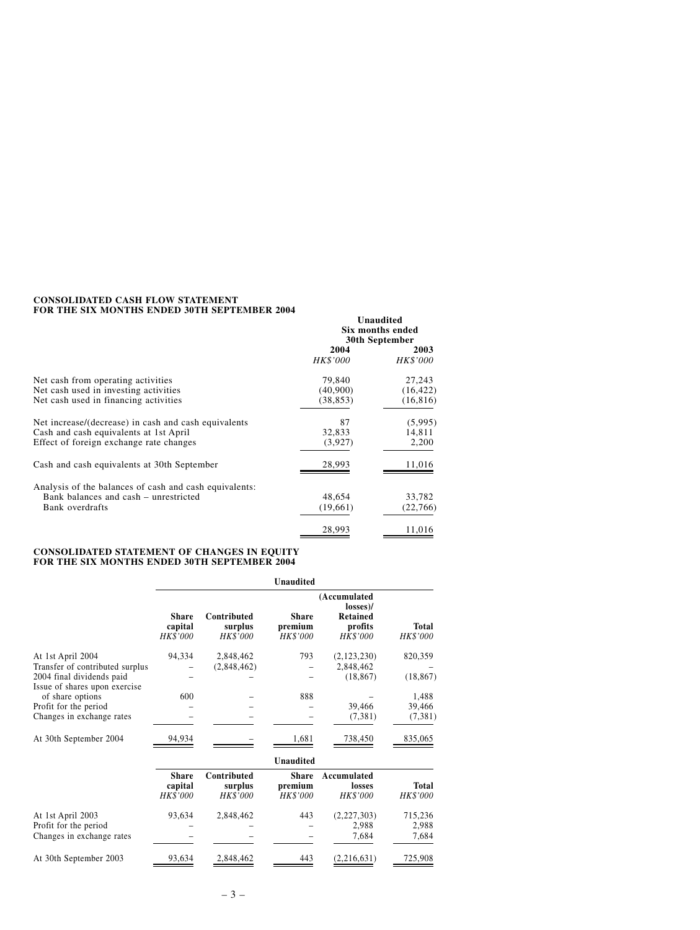### **CONSOLIDATED CASH FLOW STATEMENT FOR THE SIX MONTHS ENDED 30TH SEPTEMBER 2004**

|                                                        | Unaudited<br>Six months ended<br>30th September |                  |
|--------------------------------------------------------|-------------------------------------------------|------------------|
|                                                        | 2004<br><i>HK\$'000</i>                         | 2003<br>HK\$'000 |
| Net cash from operating activities                     | 79,840                                          | 27,243           |
| Net cash used in investing activities                  | (40,900)                                        | (16, 422)        |
| Net cash used in financing activities                  | (38, 853)                                       | (16, 816)        |
| Net increase/(decrease) in cash and cash equivalents   | 87                                              | (5,995)          |
| Cash and cash equivalents at 1st April                 | 32,833                                          | 14,811           |
| Effect of foreign exchange rate changes                | (3,927)                                         | 2,200            |
| Cash and cash equivalents at 30th September            | 28,993                                          | 11,016           |
| Analysis of the balances of cash and cash equivalents: |                                                 |                  |
| Bank balances and cash - unrestricted                  | 48,654                                          | 33,782           |
| Bank overdrafts                                        | (19,661)                                        | (22, 766)        |
|                                                        | 28,993                                          | 11,016           |

#### **CONSOLIDATED STATEMENT OF CHANGES IN EQUITY FOR THE SIX MONTHS ENDED 30TH SEPTEMBER 2004**

|                                                            |                                            |                                    | <b>Unaudited</b>                           |                                                                    |                          |
|------------------------------------------------------------|--------------------------------------------|------------------------------------|--------------------------------------------|--------------------------------------------------------------------|--------------------------|
|                                                            | <b>Share</b><br>capital<br>HK\$'000        | Contributed<br>surplus<br>HK\$'000 | <b>Share</b><br>premium<br>HK\$'000        | (Accumulated<br>losses)/<br><b>Retained</b><br>profits<br>HK\$'000 | <b>Total</b><br>HK\$'000 |
| At 1st April 2004<br>Transfer of contributed surplus       | 94,334                                     | 2,848,462<br>(2,848,462)           | 793                                        | (2,123,230)<br>2.848.462                                           | 820,359                  |
| 2004 final dividends paid<br>Issue of shares upon exercise |                                            |                                    |                                            | (18, 867)                                                          | (18, 867)                |
| of share options                                           | 600                                        |                                    | 888                                        |                                                                    | 1,488                    |
| Profit for the period                                      |                                            |                                    |                                            | 39,466                                                             | 39,466                   |
| Changes in exchange rates                                  |                                            |                                    |                                            | (7,381)                                                            | (7, 381)                 |
| At 30th September 2004                                     | 94,934                                     |                                    | 1,681                                      | 738,450                                                            | 835,065                  |
|                                                            |                                            |                                    | <b>Unaudited</b>                           |                                                                    |                          |
|                                                            | <b>Share</b><br>capital<br><b>HK\$'000</b> | Contributed<br>surplus<br>HK\$'000 | <b>Share</b><br>premium<br><b>HK\$'000</b> | Accumulated<br>losses<br><b>HK\$'000</b>                           | Total<br><i>HK\$'000</i> |
| At 1st April 2003                                          | 93,634                                     | 2,848,462                          | 443                                        | (2,227,303)                                                        | 715,236                  |
| Profit for the period                                      |                                            |                                    |                                            | 2,988                                                              | 2,988                    |
| Changes in exchange rates                                  |                                            |                                    |                                            | 7,684                                                              | 7,684                    |
| At 30th September 2003                                     | 93,634                                     | 2,848,462                          | 443                                        | (2,216,631)                                                        | 725,908                  |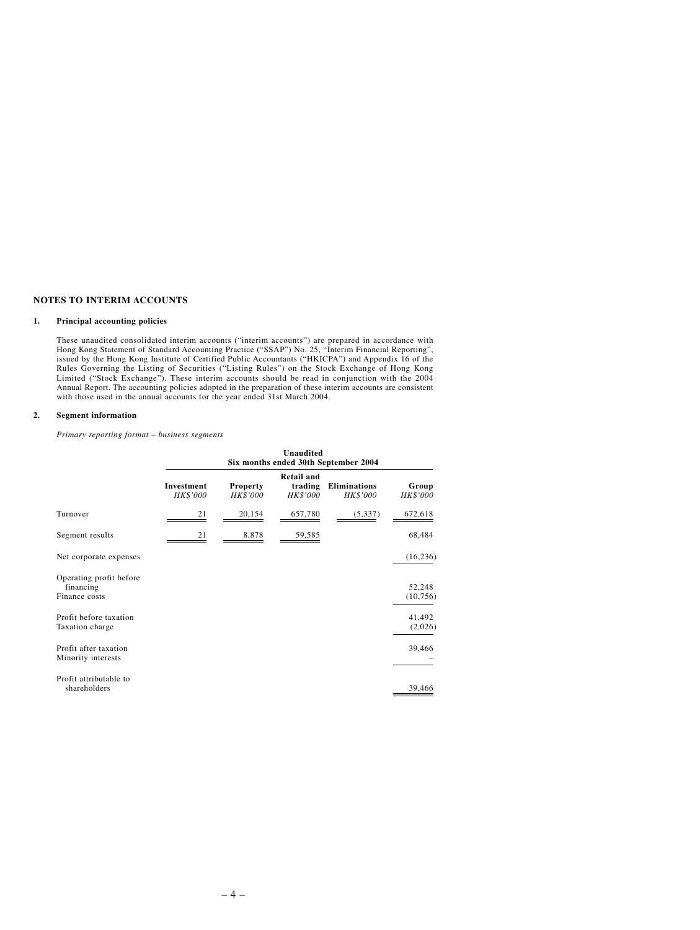# **NOTES TO INTERIM ACCOUNTS**

#### **1. Principal accounting policies**

These unaudited consolidated interim accounts ("interim accounts") are prepared in accordance with Hong Kong Statement of Standard Accounting Practice ("SSAP") No. 25, "Interim Financial Reporting", issued by the Hong Kong Institute of Certified Public Accountants ("HKICPA") and Appendix 16 of the Rules Governing the Listing of Securities ("Listing Rules") on the Stock Exchange of Hong Kong Limited ("Stock Exchange"). These interim accounts should be read in conjunction with the 2004 Annual Report. The accounting policies adopted in the preparation of these interim accounts are consistent with those used in the annual accounts for the year ended 31st March 2004.

#### **2. Segment information**

*Primary reporting format – business segments*

|                                                       | Unaudited<br>Six months ended 30th September 2004 |                             |                                                 |                                        |                          |
|-------------------------------------------------------|---------------------------------------------------|-----------------------------|-------------------------------------------------|----------------------------------------|--------------------------|
|                                                       | Investment<br><b>HK\$'000</b>                     | Property<br><b>HK\$'000</b> | <b>Retail and</b><br>trading<br><b>HK\$'000</b> | <b>Eliminations</b><br><b>HK\$'000</b> | Group<br><b>HK\$'000</b> |
| Turnover                                              | 21                                                | 20,154                      | 657,780                                         | (5, 337)                               | 672,618                  |
| Segment results                                       | 21                                                | 8,878                       | 59,585                                          |                                        | 68,484                   |
| Net corporate expenses                                |                                                   |                             |                                                 |                                        | (16, 236)                |
| Operating profit before<br>financing<br>Finance costs |                                                   |                             |                                                 |                                        | 52,248<br>(10, 756)      |
| Profit before taxation<br>Taxation charge             |                                                   |                             |                                                 |                                        | 41,492<br>(2,026)        |
| Profit after taxation<br>Minority interests           |                                                   |                             |                                                 |                                        | 39,466                   |
| Profit attributable to<br>shareholders                |                                                   |                             |                                                 |                                        | 39,466                   |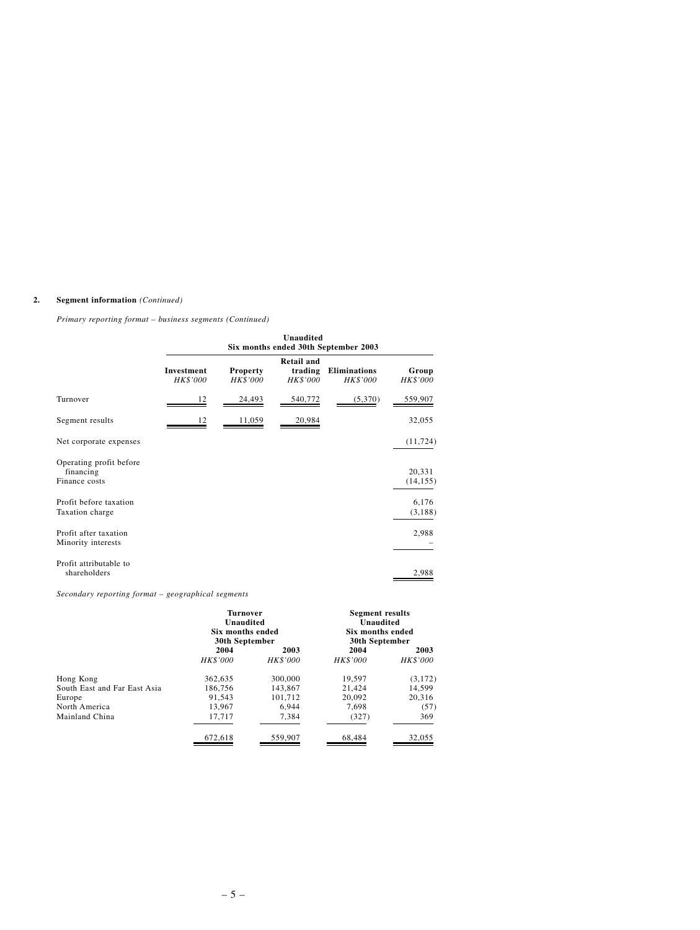# **2. Segment information** *(Continued)*

# *Primary reporting format – business segments (Continued)*

|                                                       | <b>Unaudited</b><br>Six months ended 30th September 2003 |                             |                                                 |                                 |                     |
|-------------------------------------------------------|----------------------------------------------------------|-----------------------------|-------------------------------------------------|---------------------------------|---------------------|
|                                                       | Investment<br>HK\$'000                                   | <b>Property</b><br>HK\$'000 | <b>Retail and</b><br>trading<br><b>HK\$'000</b> | <b>Eliminations</b><br>HK\$'000 | Group<br>HK\$'000   |
| Turnover                                              | 12                                                       | 24,493                      | 540,772                                         | (5,370)                         | 559,907             |
| Segment results                                       | 12                                                       | 11,059                      | 20,984                                          |                                 | 32,055              |
| Net corporate expenses                                |                                                          |                             |                                                 |                                 | (11, 724)           |
| Operating profit before<br>financing<br>Finance costs |                                                          |                             |                                                 |                                 | 20,331<br>(14, 155) |
| Profit before taxation<br>Taxation charge             |                                                          |                             |                                                 |                                 | 6,176<br>(3, 188)   |
| Profit after taxation<br>Minority interests           |                                                          |                             |                                                 |                                 | 2,988               |
| Profit attributable to<br>shareholders                |                                                          |                             |                                                 |                                 | 2,988               |

*Secondary reporting format – geographical segments*

|                              | <b>Turnover</b><br>Unaudited<br>Six months ended<br>30th September |                         |                         |                         | <b>Segment results</b><br>Unaudited<br>Six months ended<br>30th September |  |
|------------------------------|--------------------------------------------------------------------|-------------------------|-------------------------|-------------------------|---------------------------------------------------------------------------|--|
|                              | 2004<br><b>HK\$'000</b>                                            | 2003<br><b>HK\$'000</b> | 2004<br><b>HK\$'000</b> | 2003<br><b>HK\$'000</b> |                                                                           |  |
| Hong Kong                    | 362,635                                                            | 300,000                 | 19.597                  | (3, 172)                |                                                                           |  |
| South East and Far East Asia | 186.756                                                            | 143,867                 | 21.424                  | 14.599                  |                                                                           |  |
| Europe                       | 91.543                                                             | 101.712                 | 20.092                  | 20.316                  |                                                                           |  |
| North America                | 13.967                                                             | 6.944                   | 7.698                   | (57)                    |                                                                           |  |
| Mainland China               | 17,717                                                             | 7,384                   | (327)                   | 369                     |                                                                           |  |
|                              | 672,618                                                            | 559,907                 | 68.484                  | 32,055                  |                                                                           |  |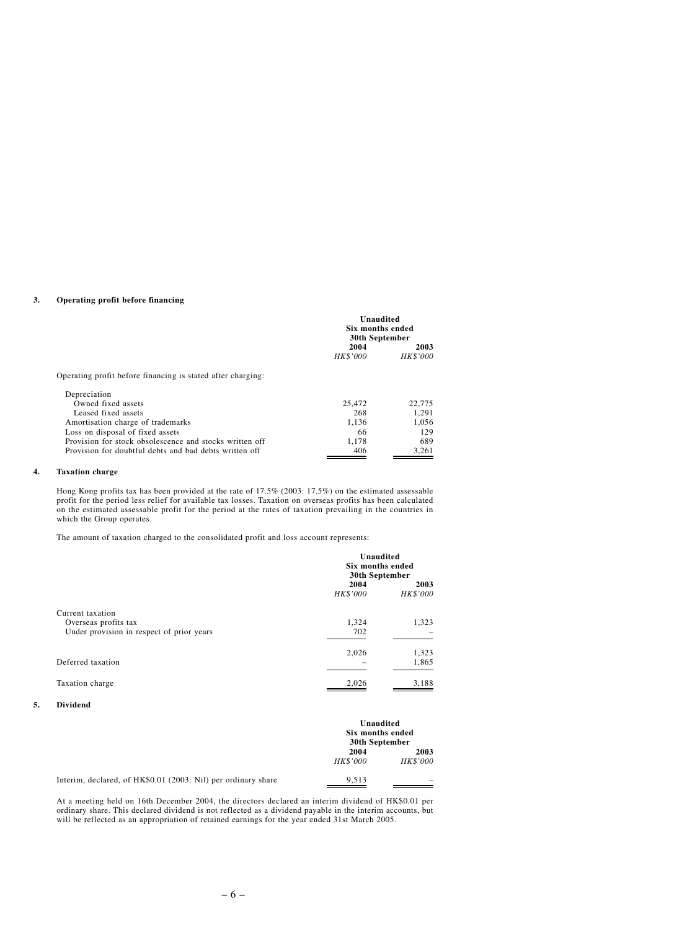## **3. Operating profit before financing**

|                                                                                                                                                                                            | Unaudited<br><b>Six months ended</b><br>30th September |                              |
|--------------------------------------------------------------------------------------------------------------------------------------------------------------------------------------------|--------------------------------------------------------|------------------------------|
|                                                                                                                                                                                            | 2004<br><b>HK\$'000</b>                                | 2003<br><b>HK\$'000</b>      |
| Operating profit before financing is stated after charging:<br>Depreciation<br>Owned fixed assets<br>Leased fixed assets                                                                   | 25,472<br>268                                          | 22,775<br>1.291              |
| Amortisation charge of trademarks<br>Loss on disposal of fixed assets<br>Provision for stock obsolescence and stocks written off<br>Provision for doubtful debts and bad debts written off | 1.136<br>66<br>1.178<br>406                            | 1.056<br>129<br>689<br>3,261 |

## **4. Taxation charge**

Hong Kong profits tax has been provided at the rate of 17.5% (2003: 17.5%) on the estimated assessable profit for the period less relief for available tax losses. Taxation on overseas profits has been calculated on the estimated assessable profit for the period at the rates of taxation prevailing in the countries in which the Group operates.

The amount of taxation charged to the consolidated profit and loss account represents:

|                                                                                       | Unaudited<br>Six months ended<br>30th September |                         |
|---------------------------------------------------------------------------------------|-------------------------------------------------|-------------------------|
|                                                                                       | 2004<br><b>HK\$'000</b>                         | 2003<br><b>HK\$'000</b> |
| Current taxation<br>Overseas profits tax<br>Under provision in respect of prior years | 1,324<br>702                                    | 1,323                   |
| Deferred taxation                                                                     | 2,026                                           | 1,323<br>1,865          |
| Taxation charge                                                                       | 2,026                                           | 3,188                   |

#### **5. Dividend**

|                                                               | Unaudited<br>Six months ended<br>30th September |                         |
|---------------------------------------------------------------|-------------------------------------------------|-------------------------|
|                                                               | 2004<br><b>HK\$'000</b>                         | 2003<br><b>HK\$'000</b> |
| Interim, declared, of HK\$0.01 (2003: Nil) per ordinary share | 9.513                                           |                         |

At a meeting held on 16th December 2004, the directors declared an interim dividend of HK\$0.01 per ordinary share. This declared dividend is not reflected as a dividend payable in the interim accounts, but will be reflected as an appropriation of retained earnings for the year ended 31st March 2005.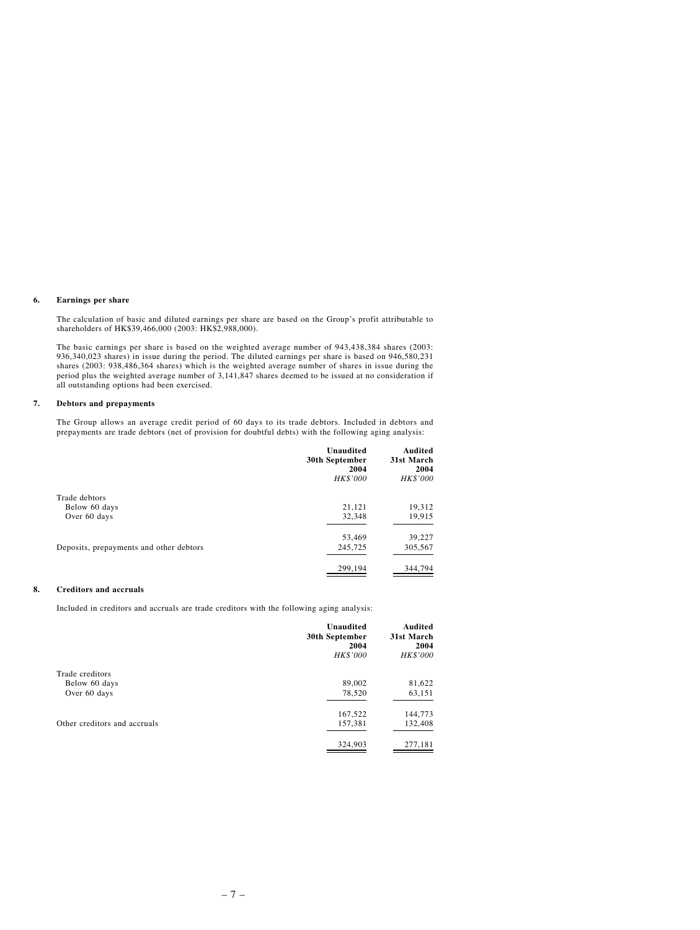#### **6. Earnings per share**

The calculation of basic and diluted earnings per share are based on the Group's profit attributable to shareholders of HK\$39,466,000 (2003: HK\$2,988,000).

The basic earnings per share is based on the weighted average number of 943,438,384 shares (2003: 936,340,023 shares) in issue during the period. The diluted earnings per share is based on 946,580,231 shares (2003: 938,486,364 shares) which is the weighted average number of shares in issue during the period plus the weighted average number of 3,141,847 shares deemed to be issued at no consideration if all outstanding options had been exercised.

### **7. Debtors and prepayments**

The Group allows an average credit period of 60 days to its trade debtors. Included in debtors and prepayments are trade debtors (net of provision for doubtful debts) with the following aging analysis:

|                                         | Unaudited<br>30th September<br>2004<br><b>HK\$'000</b> | Audited<br>31st March<br>2004<br>HK\$'000 |
|-----------------------------------------|--------------------------------------------------------|-------------------------------------------|
| Trade debtors                           |                                                        |                                           |
| Below 60 days                           | 21,121                                                 | 19,312                                    |
| Over 60 days                            | 32,348                                                 | 19,915                                    |
|                                         | 53,469                                                 | 39,227                                    |
| Deposits, prepayments and other debtors | 245,725                                                | 305,567                                   |
|                                         | 299,194                                                | 344,794                                   |

#### **8. Creditors and accruals**

Included in creditors and accruals are trade creditors with the following aging analysis:

|                              | Unaudited<br>30th September<br>2004<br>HK\$'000 | Audited<br>31st March<br>2004<br><b>HK\$'000</b> |
|------------------------------|-------------------------------------------------|--------------------------------------------------|
| Trade creditors              |                                                 |                                                  |
| Below 60 days                | 89,002                                          | 81,622                                           |
| Over 60 days                 | 78,520                                          | 63,151                                           |
|                              | 167,522                                         | 144,773                                          |
| Other creditors and accruals | 157,381                                         | 132,408                                          |
|                              | 324,903                                         | 277,181                                          |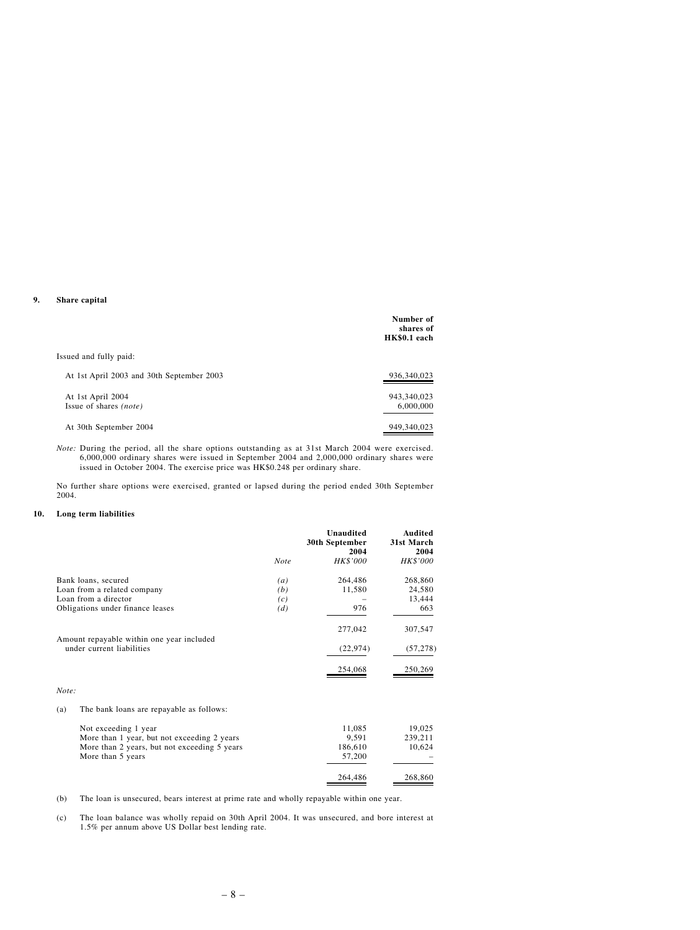#### **9. Share capital**

|                                                    | Number of<br>shares of<br>HK\$0.1 each |
|----------------------------------------------------|----------------------------------------|
| Issued and fully paid:                             |                                        |
| At 1st April 2003 and 30th September 2003          | 936, 340, 023                          |
| At 1st April 2004<br>Issue of shares <i>(note)</i> | 943,340,023<br>6,000,000               |
|                                                    |                                        |
| At 30th September 2004                             | 949,340,023                            |

*Note:* During the period, all the share options outstanding as at 31st March 2004 were exercised. 6,000,000 ordinary shares were issued in September 2004 and 2,000,000 ordinary shares were issued in October 2004. The exercise price was HK\$0.248 per ordinary share.

No further share options were exercised, granted or lapsed during the period ended 30th September 2004.

#### **10. Long term liabilities**

|                                                                        |             | <b>Unaudited</b><br>30th September<br>2004 | <b>Audited</b><br>31st March<br>2004 |
|------------------------------------------------------------------------|-------------|--------------------------------------------|--------------------------------------|
|                                                                        | <b>Note</b> | HK\$'000                                   | <b>HK\$'000</b>                      |
| Bank loans, secured                                                    | (a)         | 264,486                                    | 268,860                              |
| Loan from a related company                                            | (b)         | 11,580                                     | 24,580                               |
| Loan from a director                                                   | (c)         |                                            | 13,444                               |
| Obligations under finance leases                                       | (d)         | 976                                        | 663                                  |
|                                                                        |             | 277,042                                    | 307,547                              |
| Amount repayable within one year included<br>under current liabilities |             | (22, 974)                                  | (57, 278)                            |
|                                                                        |             | 254,068                                    | 250,269                              |
| Note:                                                                  |             |                                            |                                      |
| The bank loans are repayable as follows:<br>(a)                        |             |                                            |                                      |
| Not exceeding 1 year                                                   |             | 11,085                                     | 19,025                               |
| More than 1 year, but not exceeding 2 years                            |             | 9,591                                      | 239,211                              |
| More than 2 years, but not exceeding 5 years                           |             | 186,610                                    | 10,624                               |
| More than 5 years                                                      |             | 57,200                                     |                                      |
|                                                                        |             | 264,486                                    | 268,860                              |

- (b) The loan is unsecured, bears interest at prime rate and wholly repayable within one year.
- (c) The loan balance was wholly repaid on 30th April 2004. It was unsecured, and bore interest at 1.5% per annum above US Dollar best lending rate.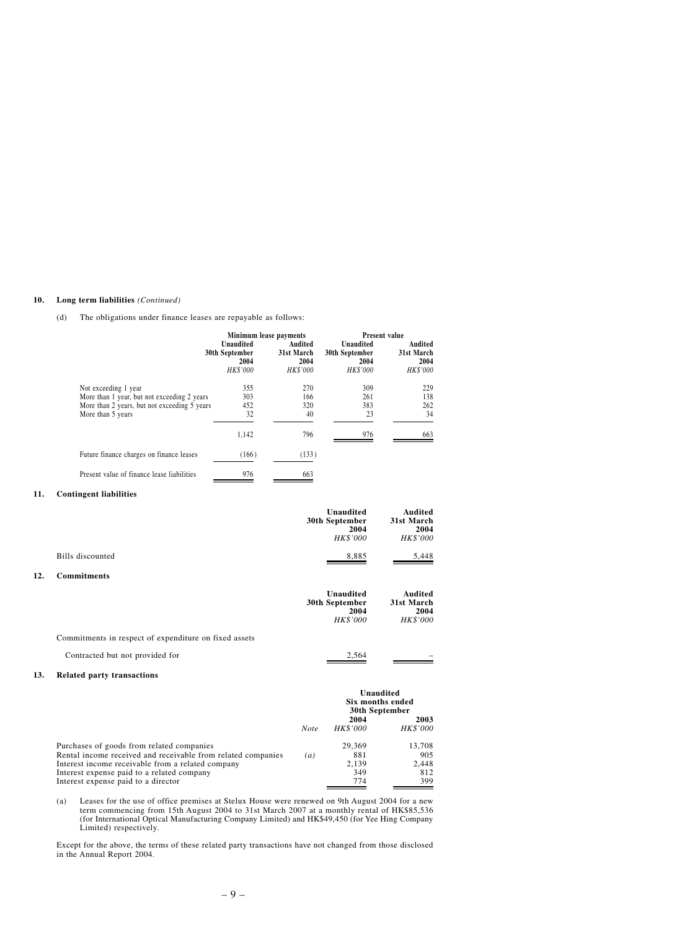#### **10. Long term liabilities** *(Continued)*

(d) The obligations under finance leases are repayable as follows:

|                                                                                                                                          |                                                 | Minimum lease payments                           | <b>Present value</b>                            |                                                  |
|------------------------------------------------------------------------------------------------------------------------------------------|-------------------------------------------------|--------------------------------------------------|-------------------------------------------------|--------------------------------------------------|
|                                                                                                                                          | Unaudited<br>30th September<br>2004<br>HK\$'000 | Audited<br>31st March<br>2004<br><b>HK\$'000</b> | Unaudited<br>30th September<br>2004<br>HK\$'000 | Audited<br>31st March<br>2004<br><b>HK\$'000</b> |
| Not exceeding 1 year<br>More than 1 year, but not exceeding 2 years<br>More than 2 years, but not exceeding 5 years<br>More than 5 years | 355<br>303<br>452<br>32                         | 270<br>166<br>320<br>40                          | 309<br>261<br>383<br>23                         | 229<br>138<br>262<br>34                          |
|                                                                                                                                          | 1.142                                           | 796                                              | 976                                             | 663                                              |
| Future finance charges on finance leases                                                                                                 | (166)                                           | (133)                                            |                                                 |                                                  |
| Present value of finance lease liabilities                                                                                               | 976                                             | 663                                              |                                                 |                                                  |

#### **11. Contingent liabilities**

|                  | Unaudited<br>30th September | Audited<br>31st March |
|------------------|-----------------------------|-----------------------|
|                  | 2004                        | 2004                  |
|                  | <b>HK\$'000</b>             | <b>HK\$'000</b>       |
| Bills discounted | 8.885                       | 5.448                 |

### **12. Commitments**

|                                                       | Unaudited<br>30th September<br>2004<br><b>HK\$'000</b> | Audited<br>31st March<br>2004<br><b>HK\$'000</b> |
|-------------------------------------------------------|--------------------------------------------------------|--------------------------------------------------|
| Commitments in respect of expenditure on fixed assets |                                                        |                                                  |
| Contracted but not provided for                       | 2.564                                                  |                                                  |

| Contracted but not provided for |
|---------------------------------|
|---------------------------------|

#### **13. Related party transactions**

|                                                              |                  | Unaudited<br>Six months ended<br>30th September |                 |
|--------------------------------------------------------------|------------------|-------------------------------------------------|-----------------|
|                                                              |                  | 2004                                            | 2003            |
|                                                              | <b>Note</b>      | <b>HK\$'000</b>                                 | <b>HK\$'000</b> |
| Purchases of goods from related companies                    |                  | 29.369                                          | 13,708          |
| Rental income received and receivable from related companies | $\left(a\right)$ | 881                                             | 905             |
| Interest income receivable from a related company            |                  | 2.139                                           | 2.448           |
| Interest expense paid to a related company                   |                  | 349                                             | 812             |
| Interest expense paid to a director                          |                  | 774                                             | 399             |

(a) Leases for the use of office premises at Stelux House were renewed on 9th August 2004 for a new term commencing from 15th August 2004 to 31st March 2007 at a monthly rental of HK\$85,536 (for International Optical Manufacturing Company Limited) and HK\$49,450 (for Yee Hing Company Limited) respectively.

Except for the above, the terms of these related party transactions have not changed from those disclosed in the Annual Report 2004.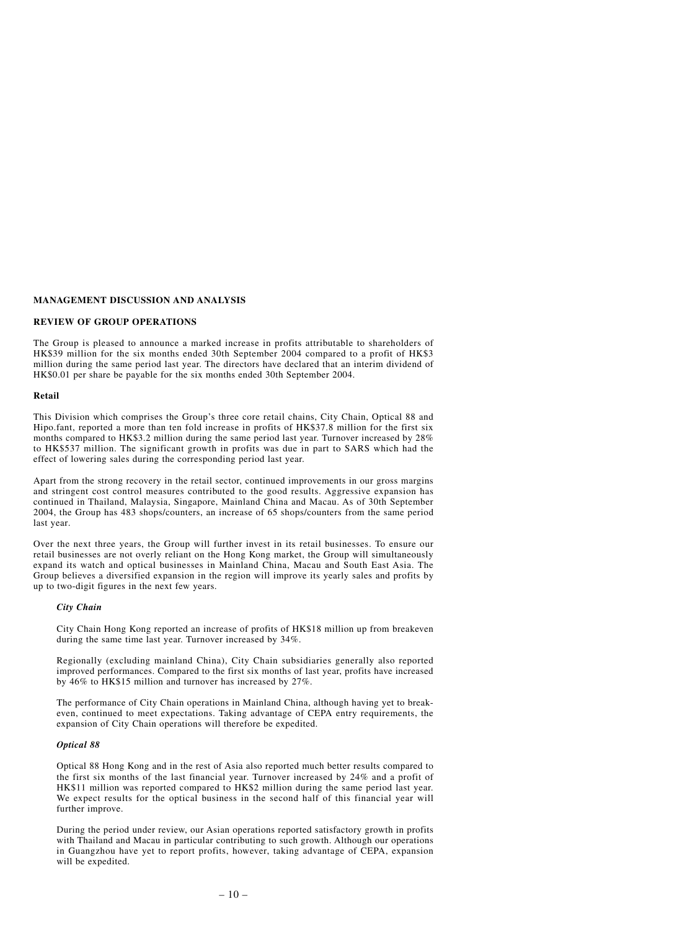# **MANAGEMENT DISCUSSION AND ANALYSIS**

## **REVIEW OF GROUP OPERATIONS**

The Group is pleased to announce a marked increase in profits attributable to shareholders of HK\$39 million for the six months ended 30th September 2004 compared to a profit of HK\$3 million during the same period last year. The directors have declared that an interim dividend of HK\$0.01 per share be payable for the six months ended 30th September 2004.

## **Retail**

This Division which comprises the Group's three core retail chains, City Chain, Optical 88 and Hipo.fant, reported a more than ten fold increase in profits of HK\$37.8 million for the first six months compared to HK\$3.2 million during the same period last year. Turnover increased by 28% to HK\$537 million. The significant growth in profits was due in part to SARS which had the effect of lowering sales during the corresponding period last year.

Apart from the strong recovery in the retail sector, continued improvements in our gross margins and stringent cost control measures contributed to the good results. Aggressive expansion has continued in Thailand, Malaysia, Singapore, Mainland China and Macau. As of 30th September 2004, the Group has 483 shops/counters, an increase of 65 shops/counters from the same period last year.

Over the next three years, the Group will further invest in its retail businesses. To ensure our retail businesses are not overly reliant on the Hong Kong market, the Group will simultaneously expand its watch and optical businesses in Mainland China, Macau and South East Asia. The Group believes a diversified expansion in the region will improve its yearly sales and profits by up to two-digit figures in the next few years.

## *City Chain*

City Chain Hong Kong reported an increase of profits of HK\$18 million up from breakeven during the same time last year. Turnover increased by 34%.

Regionally (excluding mainland China), City Chain subsidiaries generally also reported improved performances. Compared to the first six months of last year, profits have increased by 46% to HK\$15 million and turnover has increased by 27%.

The performance of City Chain operations in Mainland China, although having yet to breakeven, continued to meet expectations. Taking advantage of CEPA entry requirements, the expansion of City Chain operations will therefore be expedited.

## *Optical 88*

Optical 88 Hong Kong and in the rest of Asia also reported much better results compared to the first six months of the last financial year. Turnover increased by 24% and a profit of HK\$11 million was reported compared to HK\$2 million during the same period last year. We expect results for the optical business in the second half of this financial year will further improve.

During the period under review, our Asian operations reported satisfactory growth in profits with Thailand and Macau in particular contributing to such growth. Although our operations in Guangzhou have yet to report profits, however, taking advantage of CEPA, expansion will be expedited.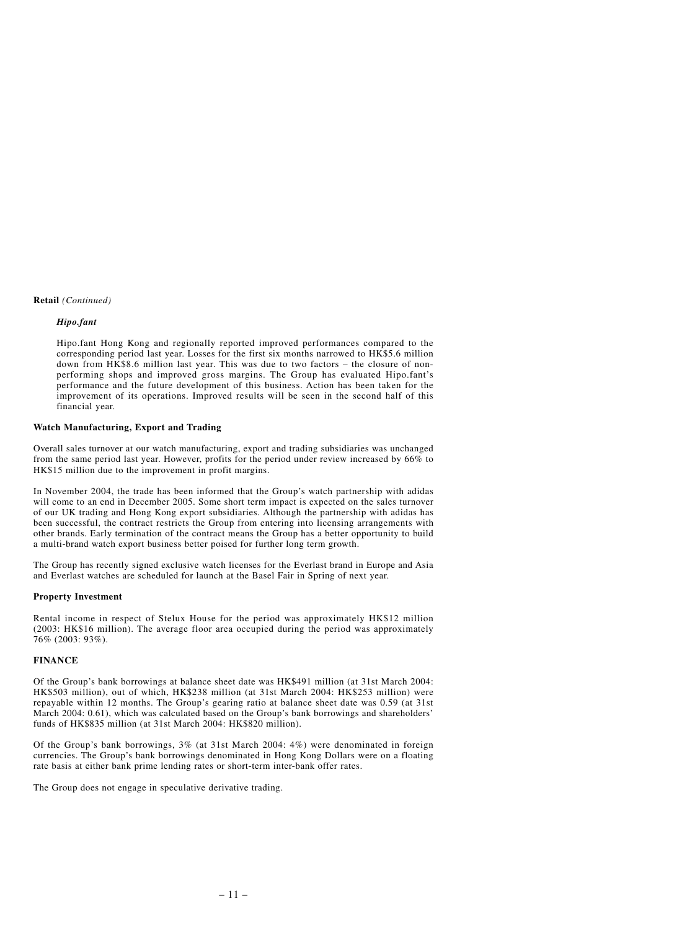## **Retail** *(Continued)*

# *Hipo.fant*

Hipo.fant Hong Kong and regionally reported improved performances compared to the corresponding period last year. Losses for the first six months narrowed to HK\$5.6 million down from HK\$8.6 million last year. This was due to two factors – the closure of nonperforming shops and improved gross margins. The Group has evaluated Hipo.fant's performance and the future development of this business. Action has been taken for the improvement of its operations. Improved results will be seen in the second half of this financial year.

## **Watch Manufacturing, Export and Trading**

Overall sales turnover at our watch manufacturing, export and trading subsidiaries was unchanged from the same period last year. However, profits for the period under review increased by 66% to HK\$15 million due to the improvement in profit margins.

In November 2004, the trade has been informed that the Group's watch partnership with adidas will come to an end in December 2005. Some short term impact is expected on the sales turnover of our UK trading and Hong Kong export subsidiaries. Although the partnership with adidas has been successful, the contract restricts the Group from entering into licensing arrangements with other brands. Early termination of the contract means the Group has a better opportunity to build a multi-brand watch export business better poised for further long term growth.

The Group has recently signed exclusive watch licenses for the Everlast brand in Europe and Asia and Everlast watches are scheduled for launch at the Basel Fair in Spring of next year.

## **Property Investment**

Rental income in respect of Stelux House for the period was approximately HK\$12 million (2003: HK\$16 million). The average floor area occupied during the period was approximately 76% (2003: 93%).

# **FINANCE**

Of the Group's bank borrowings at balance sheet date was HK\$491 million (at 31st March 2004: HK\$503 million), out of which, HK\$238 million (at 31st March 2004: HK\$253 million) were repayable within 12 months. The Group's gearing ratio at balance sheet date was 0.59 (at 31st March 2004: 0.61), which was calculated based on the Group's bank borrowings and shareholders' funds of HK\$835 million (at 31st March 2004: HK\$820 million).

Of the Group's bank borrowings, 3% (at 31st March 2004: 4%) were denominated in foreign currencies. The Group's bank borrowings denominated in Hong Kong Dollars were on a floating rate basis at either bank prime lending rates or short-term inter-bank offer rates.

The Group does not engage in speculative derivative trading.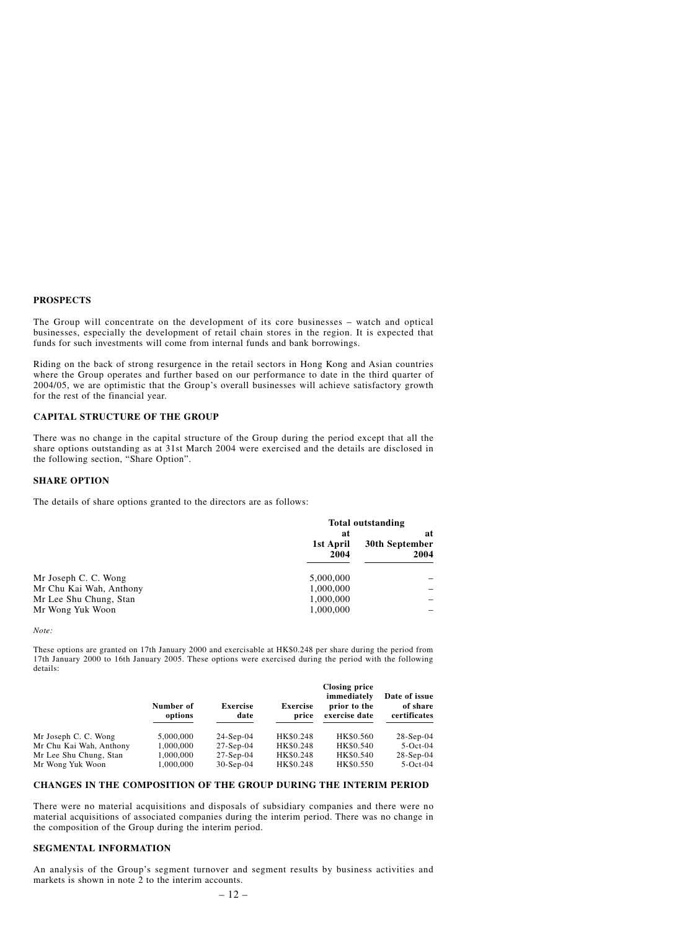#### **PROSPECTS**

The Group will concentrate on the development of its core businesses – watch and optical businesses, especially the development of retail chain stores in the region. It is expected that funds for such investments will come from internal funds and bank borrowings.

Riding on the back of strong resurgence in the retail sectors in Hong Kong and Asian countries where the Group operates and further based on our performance to date in the third quarter of 2004/05, we are optimistic that the Group's overall businesses will achieve satisfactory growth for the rest of the financial year.

## **CAPITAL STRUCTURE OF THE GROUP**

There was no change in the capital structure of the Group during the period except that all the share options outstanding as at 31st March 2004 were exercised and the details are disclosed in the following section, "Share Option".

### **SHARE OPTION**

The details of share options granted to the directors are as follows:

|                         | <b>Total outstanding</b> |                              |  |
|-------------------------|--------------------------|------------------------------|--|
|                         | at<br>1st April<br>2004  | at<br>30th September<br>2004 |  |
| Mr Joseph C. C. Wong    | 5.000,000                |                              |  |
| Mr Chu Kai Wah, Anthony | 1,000,000                |                              |  |
| Mr Lee Shu Chung, Stan  | 1,000,000                |                              |  |
| Mr Wong Yuk Woon        | 1,000,000                |                              |  |

#### *Note:*

These options are granted on 17th January 2000 and exercisable at HK\$0.248 per share during the period from 17th January 2000 to 16th January 2005. These options were exercised during the period with the following details:

|                         | Number of<br>options | <b>Exercise</b><br>date | <b>Exercise</b><br>price | <b>Closing price</b><br>immediately<br>prior to the<br>exercise date | Date of issue<br>of share<br>certificates |
|-------------------------|----------------------|-------------------------|--------------------------|----------------------------------------------------------------------|-------------------------------------------|
| Mr Joseph C. C. Wong    | 5,000,000            | $24-Sep-04$             | HK\$0.248                | HK\$0.560                                                            | $28-Sep-04$                               |
| Mr Chu Kai Wah, Anthony | 1,000,000            | $27-Sep-04$             | HK\$0.248                | HK\$0.540                                                            | $5-Oct-04$                                |
| Mr Lee Shu Chung, Stan  | 1,000,000            | $27-Sep-04$             | HK\$0.248                | HK\$0.540                                                            | $28-Sep-04$                               |
| Mr Wong Yuk Woon        | 1,000,000            | $30-Sep-04$             | HK\$0.248                | HK\$0.550                                                            | $5-Oct-04$                                |

# **CHANGES IN THE COMPOSITION OF THE GROUP DURING THE INTERIM PERIOD**

There were no material acquisitions and disposals of subsidiary companies and there were no material acquisitions of associated companies during the interim period. There was no change in the composition of the Group during the interim period.

## **SEGMENTAL INFORMATION**

An analysis of the Group's segment turnover and segment results by business activities and markets is shown in note 2 to the interim accounts.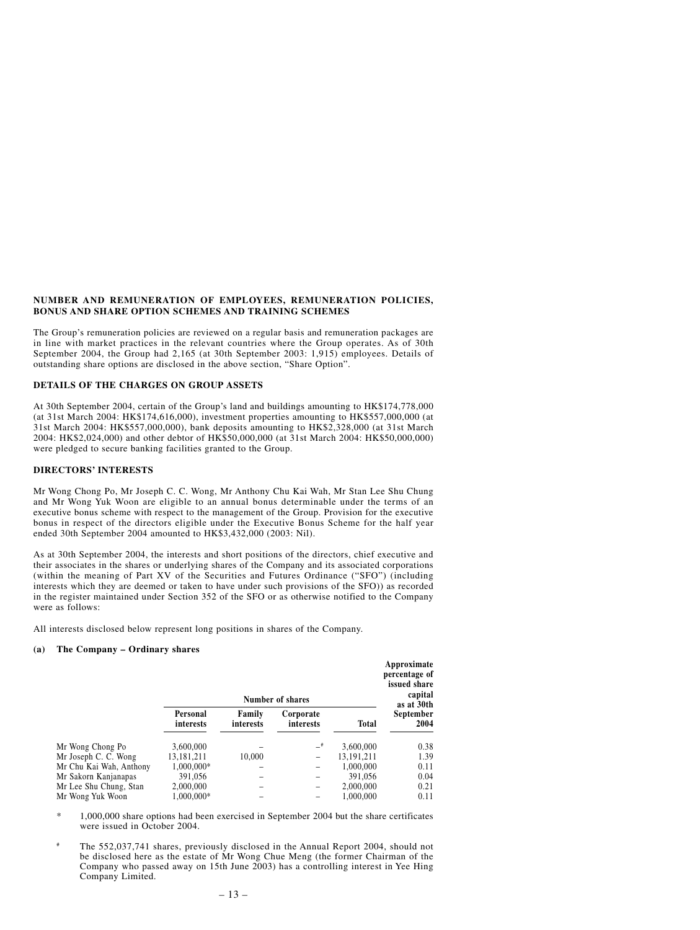### **NUMBER AND REMUNERATION OF EMPLOYEES, REMUNERATION POLICIES, BONUS AND SHARE OPTION SCHEMES AND TRAINING SCHEMES**

The Group's remuneration policies are reviewed on a regular basis and remuneration packages are in line with market practices in the relevant countries where the Group operates. As of 30th September 2004, the Group had 2,165 (at 30th September 2003: 1,915) employees. Details of outstanding share options are disclosed in the above section, "Share Option".

# **DETAILS OF THE CHARGES ON GROUP ASSETS**

At 30th September 2004, certain of the Group's land and buildings amounting to HK\$174,778,000 (at 31st March 2004: HK\$174,616,000), investment properties amounting to HK\$557,000,000 (at 31st March 2004: HK\$557,000,000), bank deposits amounting to HK\$2,328,000 (at 31st March 2004: HK\$2,024,000) and other debtor of HK\$50,000,000 (at 31st March 2004: HK\$50,000,000) were pledged to secure banking facilities granted to the Group.

### **DIRECTORS' INTERESTS**

Mr Wong Chong Po, Mr Joseph C. C. Wong, Mr Anthony Chu Kai Wah, Mr Stan Lee Shu Chung and Mr Wong Yuk Woon are eligible to an annual bonus determinable under the terms of an executive bonus scheme with respect to the management of the Group. Provision for the executive bonus in respect of the directors eligible under the Executive Bonus Scheme for the half year ended 30th September 2004 amounted to HK\$3,432,000 (2003: Nil).

As at 30th September 2004, the interests and short positions of the directors, chief executive and their associates in the shares or underlying shares of the Company and its associated corporations (within the meaning of Part XV of the Securities and Futures Ordinance ("SFO") (including interests which they are deemed or taken to have under such provisions of the SFO)) as recorded in the register maintained under Section 352 of the SFO or as otherwise notified to the Company were as follows:

All interests disclosed below represent long positions in shares of the Company.

#### **(a) The Company – Ordinary shares**

|                         | Number of shares      |                     |                        |              | Approximate<br>percentage of<br>issued share<br>capital<br>as at 30th |
|-------------------------|-----------------------|---------------------|------------------------|--------------|-----------------------------------------------------------------------|
|                         | Personal<br>interests | Family<br>interests | Corporate<br>interests | <b>Total</b> | September<br>2004                                                     |
| Mr Wong Chong Po        | 3,600,000             |                     | -#                     | 3,600,000    | 0.38                                                                  |
| Mr Joseph C. C. Wong    | 13,181,211            | 10,000              | -                      | 13.191.211   | 1.39                                                                  |
| Mr Chu Kai Wah, Anthony | 1,000,000*            |                     |                        | 1,000,000    | 0.11                                                                  |
| Mr Sakorn Kanjanapas    | 391.056               |                     |                        | 391.056      | 0.04                                                                  |
| Mr Lee Shu Chung, Stan  | 2,000,000             |                     |                        | 2,000,000    | 0.21                                                                  |
| Mr Wong Yuk Woon        | 1.000.000*            |                     |                        | 1.000.000    | 0.11                                                                  |

\* 1,000,000 share options had been exercised in September 2004 but the share certificates were issued in October 2004.

# The 552,037,741 shares, previously disclosed in the Annual Report 2004, should not be disclosed here as the estate of Mr Wong Chue Meng (the former Chairman of the Company who passed away on 15th June 2003) has a controlling interest in Yee Hing Company Limited.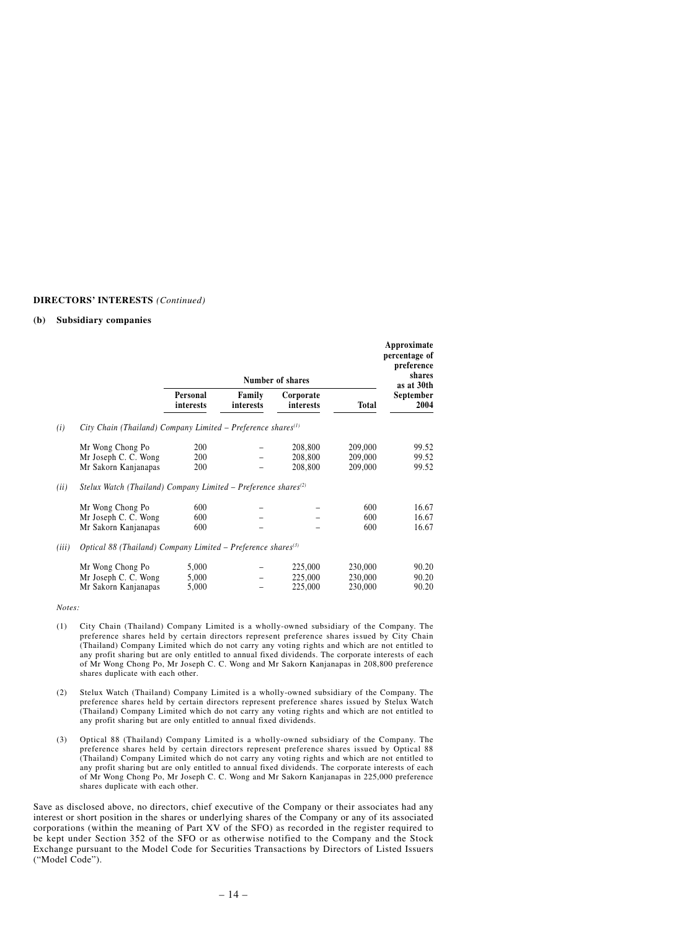## **DIRECTORS' INTERESTS** *(Continued)*

#### **(b) Subsidiary companies**

|       |                                                                            |                         |                     |                               |                               | Approximate<br>percentage of<br>preference |
|-------|----------------------------------------------------------------------------|-------------------------|---------------------|-------------------------------|-------------------------------|--------------------------------------------|
|       |                                                                            |                         |                     | Number of shares              |                               | shares<br>as at 30th                       |
|       |                                                                            | Personal<br>interests   | Family<br>interests | Corporate<br>interests        | <b>Total</b>                  | September<br>2004                          |
| (i)   | City Chain (Thailand) Company Limited – Preference shares $(1)$            |                         |                     |                               |                               |                                            |
|       | Mr Wong Chong Po<br>Mr Joseph C. C. Wong<br>Mr Sakorn Kanjanapas           | 200<br>200<br>200       |                     | 208,800<br>208,800<br>208,800 | 209,000<br>209,000<br>209,000 | 99.52<br>99.52<br>99.52                    |
| (ii)  | Stelux Watch (Thailand) Company Limited – Preference shares <sup>(2)</sup> |                         |                     |                               |                               |                                            |
|       | Mr Wong Chong Po<br>Mr Joseph C. C. Wong<br>Mr Sakorn Kanjanapas           | 600<br>600<br>600       |                     |                               | 600<br>600<br>600             | 16.67<br>16.67<br>16.67                    |
| (iii) | Optical 88 (Thailand) Company Limited – Preference shares <sup>(3)</sup>   |                         |                     |                               |                               |                                            |
|       | Mr Wong Chong Po<br>Mr Joseph C. C. Wong<br>Mr Sakorn Kanjanapas           | 5,000<br>5,000<br>5,000 |                     | 225,000<br>225,000<br>225,000 | 230,000<br>230,000<br>230,000 | 90.20<br>90.20<br>90.20                    |

#### *Notes:*

- (1) City Chain (Thailand) Company Limited is a wholly-owned subsidiary of the Company. The preference shares held by certain directors represent preference shares issued by City Chain (Thailand) Company Limited which do not carry any voting rights and which are not entitled to any profit sharing but are only entitled to annual fixed dividends. The corporate interests of each of Mr Wong Chong Po, Mr Joseph C. C. Wong and Mr Sakorn Kanjanapas in 208,800 preference shares duplicate with each other.
- (2) Stelux Watch (Thailand) Company Limited is a wholly-owned subsidiary of the Company. The preference shares held by certain directors represent preference shares issued by Stelux Watch (Thailand) Company Limited which do not carry any voting rights and which are not entitled to any profit sharing but are only entitled to annual fixed dividends.
- (3) Optical 88 (Thailand) Company Limited is a wholly-owned subsidiary of the Company. The preference shares held by certain directors represent preference shares issued by Optical 88 (Thailand) Company Limited which do not carry any voting rights and which are not entitled to any profit sharing but are only entitled to annual fixed dividends. The corporate interests of each of Mr Wong Chong Po, Mr Joseph C. C. Wong and Mr Sakorn Kanjanapas in 225,000 preference shares duplicate with each other.

Save as disclosed above, no directors, chief executive of the Company or their associates had any interest or short position in the shares or underlying shares of the Company or any of its associated corporations (within the meaning of Part XV of the SFO) as recorded in the register required to be kept under Section 352 of the SFO or as otherwise notified to the Company and the Stock Exchange pursuant to the Model Code for Securities Transactions by Directors of Listed Issuers ("Model Code").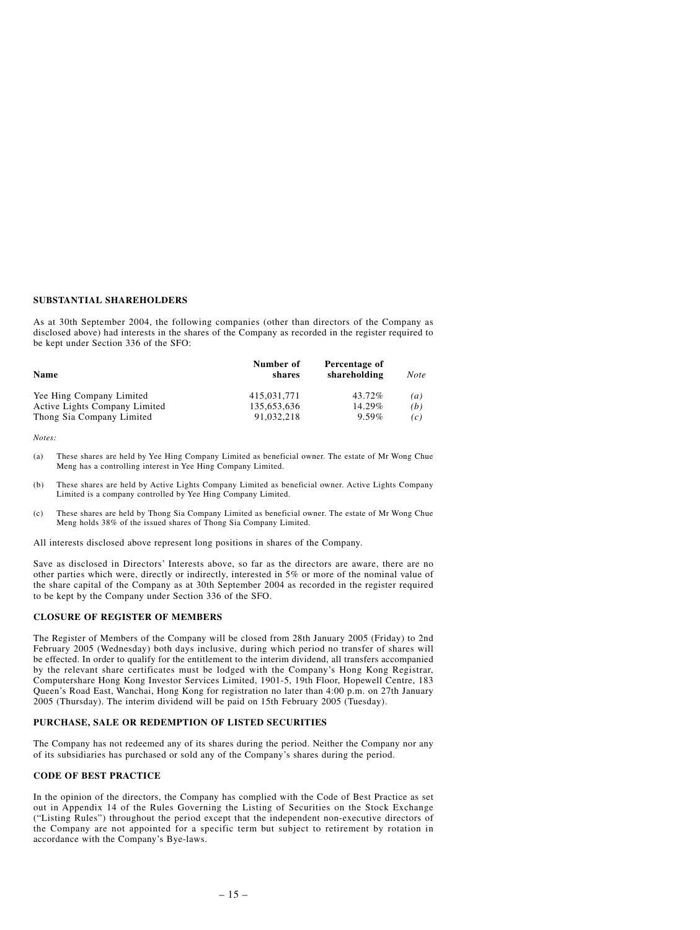## **SUBSTANTIAL SHAREHOLDERS**

As at 30th September 2004, the following companies (other than directors of the Company as disclosed above) had interests in the shares of the Company as recorded in the register required to be kept under Section 336 of the SFO:

| Name                          | Number of<br>shares | Percentage of<br>shareholding | <b>Note</b>      |
|-------------------------------|---------------------|-------------------------------|------------------|
| Yee Hing Company Limited      | 415.031.771         | 43.72%                        | $\left(a\right)$ |
| Active Lights Company Limited | 135,653,636         | 14.29%                        | (b)              |
| Thong Sia Company Limited     | 91,032,218          | $9.59\%$                      | (c)              |

*Notes:*

- (a) These shares are held by Yee Hing Company Limited as beneficial owner. The estate of Mr Wong Chue Meng has a controlling interest in Yee Hing Company Limited.
- (b) These shares are held by Active Lights Company Limited as beneficial owner. Active Lights Company Limited is a company controlled by Yee Hing Company Limited.
- (c) These shares are held by Thong Sia Company Limited as beneficial owner. The estate of Mr Wong Chue Meng holds 38% of the issued shares of Thong Sia Company Limited.

All interests disclosed above represent long positions in shares of the Company.

Save as disclosed in Directors' Interests above, so far as the directors are aware, there are no other parties which were, directly or indirectly, interested in 5% or more of the nominal value of the share capital of the Company as at 30th September 2004 as recorded in the register required to be kept by the Company under Section 336 of the SFO.

### **CLOSURE OF REGISTER OF MEMBERS**

The Register of Members of the Company will be closed from 28th January 2005 (Friday) to 2nd February 2005 (Wednesday) both days inclusive, during which period no transfer of shares will be effected. In order to qualify for the entitlement to the interim dividend, all transfers accompanied by the relevant share certificates must be lodged with the Company's Hong Kong Registrar, Computershare Hong Kong Investor Services Limited, 1901-5, 19th Floor, Hopewell Centre, 183 Queen's Road East, Wanchai, Hong Kong for registration no later than 4:00 p.m. on 27th January 2005 (Thursday). The interim dividend will be paid on 15th February 2005 (Tuesday).

#### **PURCHASE, SALE OR REDEMPTION OF LISTED SECURITIES**

The Company has not redeemed any of its shares during the period. Neither the Company nor any of its subsidiaries has purchased or sold any of the Company's shares during the period.

#### **CODE OF BEST PRACTICE**

In the opinion of the directors, the Company has complied with the Code of Best Practice as set out in Appendix 14 of the Rules Governing the Listing of Securities on the Stock Exchange ("Listing Rules") throughout the period except that the independent non-executive directors of the Company are not appointed for a specific term but subject to retirement by rotation in accordance with the Company's Bye-laws.